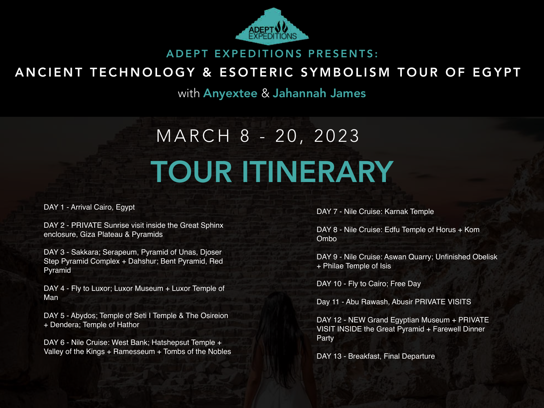

#### ADEPT EXPEDITIONS PRESENTS:

#### ANCIENT TECHNOLOGY & ESOTERIC SYMBOLISM TOUR OF EGYPT

with Anyextee & Jahannah James

# MARCH 8 - 20, 2023 TOUR ITINERARY

DAY 1 - Arrival Cairo, Egypt

DAY 2 - PRIVATE Sunrise visit inside the Great Sphinx enclosure, Giza Plateau & Pyramids

DAY 3 - Sakkara; Serapeum, Pyramid of Unas, Djoser Step Pyramid Complex + Dahshur; Bent Pyramid, Red Pyramid

DAY 4 - Fly to Luxor; Luxor Museum + Luxor Temple of Man

DAY 5 - Abydos; Temple of Seti I Temple & The Osireion + Dendera; Temple of Hathor

DAY 6 - Nile Cruise: West Bank; Hatshepsut Temple + Valley of the Kings + Ramesseum + Tombs of the Nobles DAY 7 - Nile Cruise: Karnak Temple

DAY 8 - Nile Cruise: Edfu Temple of Horus + Kom Ombo

DAY 9 - Nile Cruise: Aswan Quarry; Unfinished Obelisk + Philae Temple of Isis

DAY 10 - Fly to Cairo; Free Day

Day 11 - Abu Rawash, Abusir PRIVATE VISITS

DAY 12 - NEW Grand Egyptian Museum + PRIVATE VISIT INSIDE the Great Pyramid + Farewell Dinner Party

DAY 13 - Breakfast, Final Departure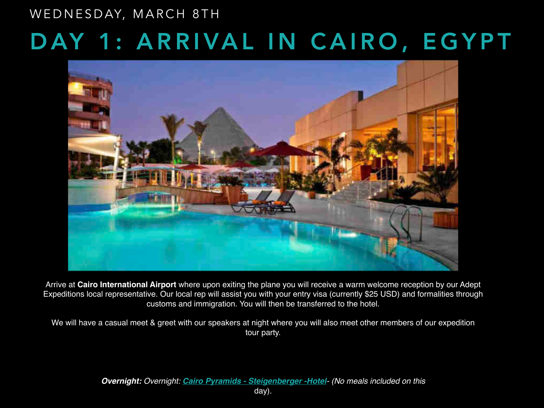# DAY 1: ARRIVAL IN CAIRO, EGYPT WEDNESDAY, MARCH 8TH



Arrive at **Cairo International Airport** where upon exiting the plane you will receive a warm welcome reception by our Adept Expeditions local representative. Our local rep will assist you with your entry visa (currently \$25 USD) and formalities through customs and immigration. You will then be transferred to the hotel.

We will have a casual meet & greet with our speakers at night where you will also meet other members of our expedition tour party.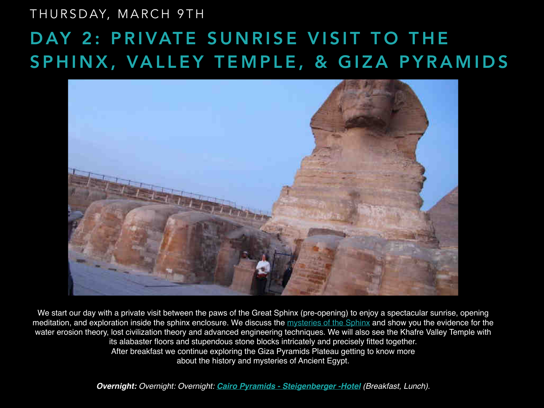#### THURSDAY, MARCH 9TH

## DAY 2: PRIVATE SUNRISE VISIT TO THE SPHINX, VALLEY TEMPLE, & GIZA PYRAMIDS



We start our day with a private visit between the paws of the Great Sphinx (pre-opening) to enjoy a spectacular sunrise, opening meditation, and exploration inside the sphinx enclosure. We discuss the [mysteries of the Sphinx](https://adeptexpeditions.com/sphinx-explained/) and show you the evidence for the water erosion theory, lost civilization theory and advanced engineering techniques. We will also see the Khafre Valley Temple with its alabaster floors and stupendous stone blocks intricately and precisely fitted together. After breakfast we continue exploring the Giza Pyramids Plateau getting to know more about the history and mysteries of Ancient Egypt.

**Overnight:** Overnight: Overnight: **[Cairo Pyramids - Steigenberger -Hotel](https://www.steigenberger.com/en/hotels/all-hotels/egypt/cairo/cairo-pyramids-hotel)** (Breakfast, Lunch).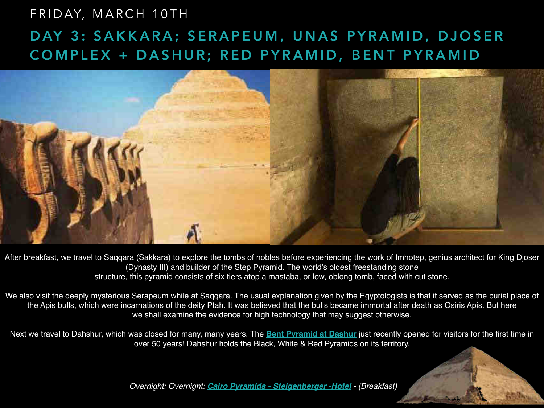#### FRIDAY, MARCH 10TH

### DAY 3: SAKKARA; SERAPEUM, UNAS PYRAMID, DJOSER COMPLEX + DASHUR; RED PYRAMID, BENT PYRAMID



After breakfast, we travel to Saqqara (Sakkara) to explore the tombs of nobles before experiencing the work of Imhotep, genius architect for King Djoser (Dynasty III) and builder of the Step Pyramid. The world's oldest freestanding stone structure, this pyramid consists of six tiers atop a mastaba, or low, oblong tomb, faced with cut stone.

We also visit the deeply mysterious Serapeum while at Saqqara. The usual explanation given by the Egyptologists is that it served as the burial place of the Apis bulls, which were incarnations of the deity Ptah. It was believed that the bulls became immortal after death as Osiris Apis. But here we shall examine the evidence for high technology that may suggest otherwise.

Next we travel to Dahshur, which was closed for many, many years. The **[Bent Pyramid at Dashur](https://adeptexpeditions.com/secrets-of-the-bent-pyramid-sneferu/)** just recently opened for visitors for the first time in over 50 years! Dahshur holds the Black, White & Red Pyramids on its territory.

Overnight: Overnight: **[Cairo Pyramids - Steigenberger -Hotel](https://www.steigenberger.com/en/hotels/all-hotels/egypt/cairo/cairo-pyramids-hotel)** - (Breakfast)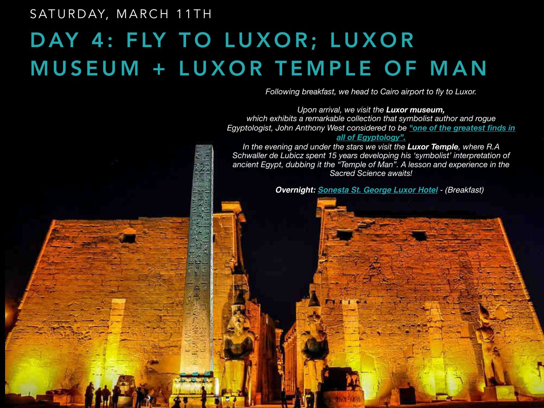#### SATURDAY, MARCH 11TH

# DAY 4: FLY TO LUXOR; LUXOR MUSEUM + LUXOR TEMPLE OF MAN

*Following breakfast, we head to Cairo airport to fly to Luxor.* 

*Upon arrival, we visit the Luxor museum, which exhibits a remarkable collection that symbolist author and rogue Egyptologist, John Anthony West considered to be ["one of the greatest finds in](https://adeptexpeditions.com/one-of-the-greatest-finds-in-all-of-egyptology/)  [all of Egyptology".](https://adeptexpeditions.com/one-of-the-greatest-finds-in-all-of-egyptology/)* 

*In the evening and under the stars we visit the Luxor Temple, where R.A Schwaller de Lubicz spent 15 years developing his 'symbolist' interpretation of*  ancient Egypt, dubbing it the "Temple of Man". A lesson and experience in the *Sacred Science awaits!* 

**Overnight: [Sonesta St. George Luxor Hotel](https://www.sonesta.com/eg/luxor/sonesta-st-george-hotel-luxor)** - (Breakfast)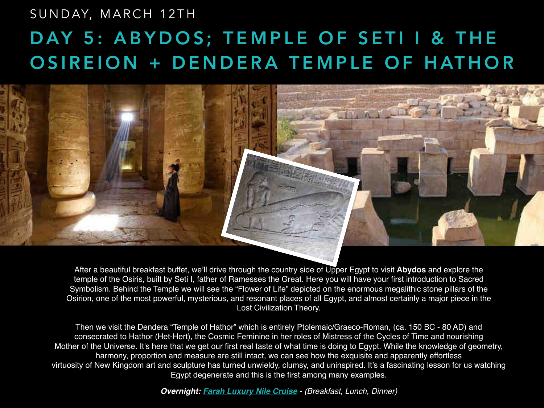## DAY 5: ABYDOS; TEMPLE OF SETI I & THE OSIREION + DENDERA TEMPLE OF HATHOR SUNDAY, MARCH 12TH



After a beautiful breakfast buffet, we'll drive through the country side of Upper Egypt to visit **Abydos** and explore the temple of the Osiris, built by Seti I, father of Ramesses the Great. Here you will have your first introduction to Sacred Symbolism. Behind the Temple we will see the "Flower of Life" depicted on the enormous megalithic stone pillars of the Osirion, one of the most powerful, mysterious, and resonant places of all Egypt, and almost certainly a major piece in the Lost Civilization Theory.

Then we visit the Dendera "Temple of Hathor" which is entirely Ptolemaic/Graeco-Roman, (ca. 150 BC - 80 AD) and consecrated to Hathor (Het-Hert), the Cosmic Feminine in her roles of Mistress of the Cycles of Time and nourishing Mother of the Universe. It's here that we get our first real taste of what time is doing to Egypt. While the knowledge of geometry, harmony, proportion and measure are still intact, we can see how the exquisite and apparently effortless virtuosity of New Kingdom art and sculpture has turned unwieldy, clumsy, and uninspired. It's a fascinating lesson for us watching Egypt degenerate and this is the first among many examples.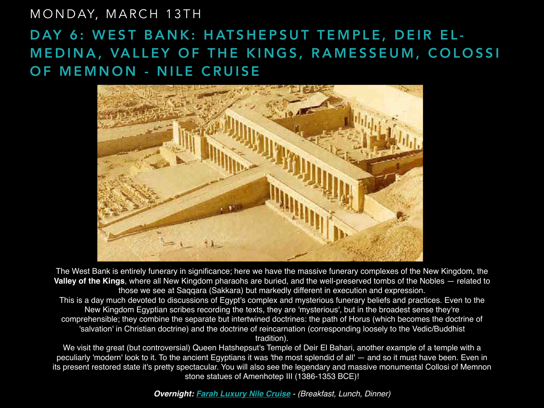#### MONDAY, MARCH 13TH

#### DAY 6: WEST BANK: HATSHEPSUT TEMPLE, DEIR EL-MEDINA, VALLEY OF THE KINGS, RAMESSEUM, COLOSSI OF MEMNON - NILE CRUISE



The West Bank is entirely funerary in significance; here we have the massive funerary complexes of the New Kingdom, the **Valley of the Kings**, where all New Kingdom pharaohs are buried, and the well-preserved tombs of the Nobles — related to those we see at Saqqara (Sakkara) but markedly different in execution and expression. This is a day much devoted to discussions of Egypt's complex and mysterious funerary beliefs and practices. Even to the New Kingdom Egyptian scribes recording the texts, they are 'mysterious', but in the broadest sense they're comprehensible; they combine the separate but intertwined doctrines: the path of Horus (which becomes the doctrine of 'salvation' in Christian doctrine) and the doctrine of reincarnation (corresponding loosely to the Vedic/Buddhist tradition).

We visit the great (but controversial) Queen Hatshepsut's Temple of Deir El Bahari, another example of a temple with a peculiarly 'modern' look to it. To the ancient Egyptians it was 'the most splendid of all' — and so it must have been. Even in its present restored state it's pretty spectacular. You will also see the legendary and massive monumental Collosi of Memnon stone statues of Amenhotep III (1386-1353 BCE)!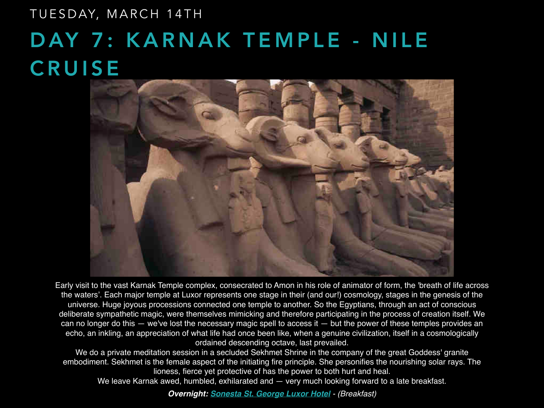# DAY 7: KARNAK TEMPLE - NILE **CRUISE** TUESDAY, MARCH 14TH



Early visit to the vast Karnak Temple complex, consecrated to Amon in his role of animator of form, the 'breath of life across the waters'. Each major temple at Luxor represents one stage in their (and our!) cosmology, stages in the genesis of the universe. Huge joyous processions connected one temple to another. So the Egyptians, through an act of conscious deliberate sympathetic magic, were themselves mimicking and therefore participating in the process of creation itself. We can no longer do this — we've lost the necessary magic spell to access it — but the power of these temples provides an echo, an inkling, an appreciation of what life had once been like, when a genuine civilization, itself in a cosmologically ordained descending octave, last prevailed.

We do a private meditation session in a secluded Sekhmet Shrine in the company of the great Goddess' granite embodiment. Sekhmet is the female aspect of the initiating fire principle. She personifies the nourishing solar rays. The lioness, fierce yet protective of has the power to both hurt and heal.

We leave Karnak awed, humbled, exhilarated and  $-$  very much looking forward to a late breakfast.

**Overnight: [Sonesta St. George Luxor Hotel](https://www.sonesta.com/eg/luxor/sonesta-st-george-hotel-luxor)** - (Breakfast)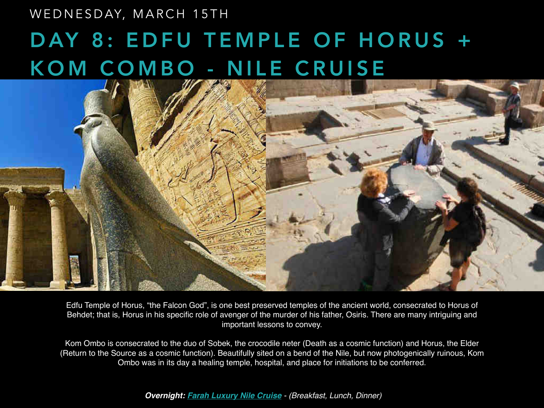#### WEDNESDAY, MARCH 15TH

# DAY 8: EDFU TEMPLE OF HORUS + KOM COMBO - NILE CRUISE



Edfu Temple of Horus, "the Falcon God", is one best preserved temples of the ancient world, consecrated to Horus of Behdet; that is, Horus in his specific role of avenger of the murder of his father, Osiris. There are many intriguing and important lessons to convey.

Kom Ombo is consecrated to the duo of Sobek, the crocodile neter (Death as a cosmic function) and Horus, the Elder (Return to the Source as a cosmic function). Beautifully sited on a bend of the Nile, but now photogenically ruinous, Kom Ombo was in its day a healing temple, hospital, and place for initiations to be conferred.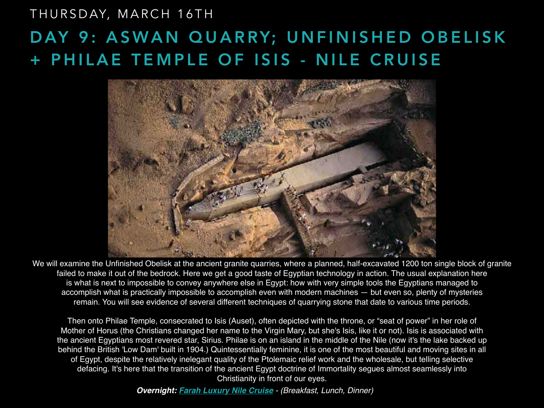### DAY 9: ASWAN QUARRY; UNFINISHED OBELISK + PHILAE TEMPLE OF ISIS - NILE CRUISE THURSDAY, MARCH 16TH



We will examine the Unfinished Obelisk at the ancient granite quarries, where a planned, half-excavated 1200 ton single block of granite failed to make it out of the bedrock. Here we get a good taste of Egyptian technology in action. The usual explanation here is what is next to impossible to convey anywhere else in Egypt: how with very simple tools the Egyptians managed to accomplish what is practically impossible to accomplish even with modern machines — but even so, plenty of mysteries remain. You will see evidence of several different techniques of quarrying stone that date to various time periods.

Then onto Philae Temple, consecrated to Isis (Auset), often depicted with the throne, or "seat of power" in her role of Mother of Horus (the Christians changed her name to the Virgin Mary, but she's Isis, like it or not). Isis is associated with the ancient Egyptians most revered star, Sirius. Philae is on an island in the middle of the Nile (now it's the lake backed up behind the British 'Low Dam' built in 1904.) Quintessentially feminine, it is one of the most beautiful and moving sites in all of Egypt, despite the relatively inelegant quality of the Ptolemaic relief work and the wholesale, but telling selective defacing. It's here that the transition of the ancient Egypt doctrine of Immortality segues almost seamlessly into Christianity in front of our eyes.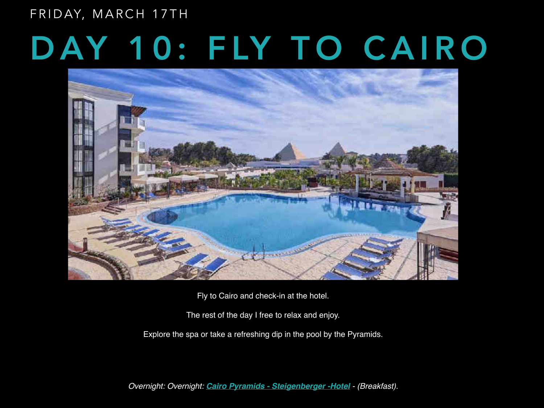FRIDAY, MARCH 17TH

# DAY 10: FLY TO CAIRO



Fly to Cairo and check-in at the hotel.

The rest of the day I free to relax and enjoy.

Explore the spa or take a refreshing dip in the pool by the Pyramids.

Overnight: Overnight: **[Cairo Pyramids - Steigenberger -Hotel](https://www.steigenberger.com/en/hotels/all-hotels/egypt/cairo/cairo-pyramids-hotel)** - (Breakfast).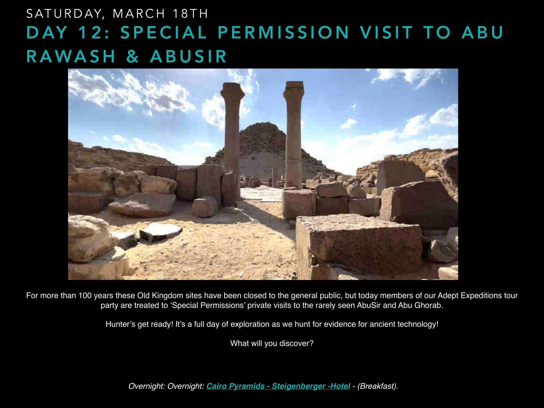### SATURDAY, MARCH 18TH DAY 12: SPECIAL PERMISSION VISIT TO ABU RAWASH & ABUSIR



For more than 100 years these Old Kingdom sites have been closed to the general public, but today members of our Adept Expeditions tour party are treated to 'Special Permissions' private visits to the rarely seen AbuSir and Abu Ghorab.

Hunter's get ready! It's a full day of exploration as we hunt for evidence for ancient technology!

What will you discover?

Overnight: Overnight: **[Cairo Pyramids - Steigenberger -Hotel](https://www.steigenberger.com/en/hotels/all-hotels/egypt/cairo/cairo-pyramids-hotel)** - (Breakfast).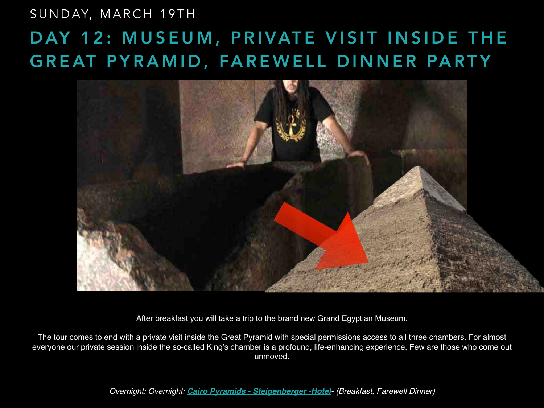### DAY 12: MUSEUM, PRIVATE VISIT INSIDE THE GREAT PYRAMID, FAREWELL DINNER PARTY SUNDAY, MARCH 19TH



After breakfast you will take a trip to the brand new Grand Egyptian Museum.

The tour comes to end with a private visit inside the Great Pyramid with special permissions access to all three chambers. For almost everyone our private session inside the so-called King's chamber is a profound, life-enhancing experience. Few are those who come out unmoved.

Overnight: Overnight: **[Cairo Pyramids - Steigenberger -Hotel](https://www.steigenberger.com/en/hotels/all-hotels/egypt/cairo/cairo-pyramids-hotel)**- (Breakfast, Farewell Dinner)